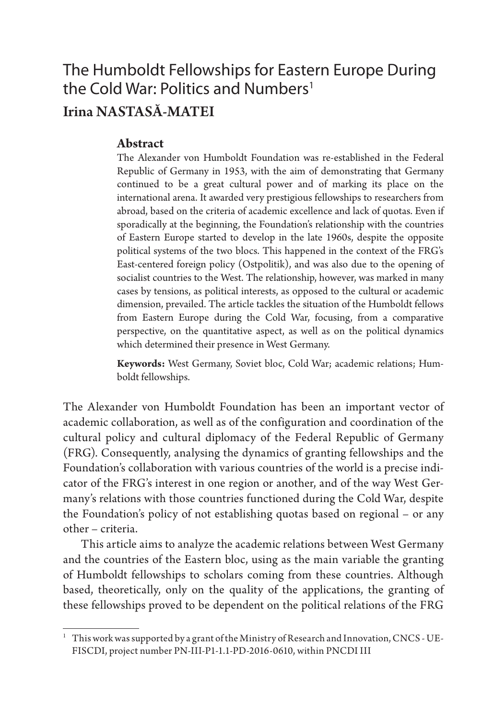### The Humboldt Fellowships for Eastern Europe During the Cold War: Politics and Numbers<sup>1</sup> Irina NASTASĂ-MATEI

#### **Abstract**

The Alexander von Humboldt Foundation was re-established in the Federal Republic of Germany in 1953, with the aim of demonstrating that Germany continued to be a great cultural power and of marking its place on the international arena. It awarded very prestigious fellowships to researchers from abroad, based on the criteria of academic excellence and lack of quotas. Even if sporadically at the beginning, the Foundation's relationship with the countries of Eastern Europe started to develop in the late 1960s, despite the opposite political systems of the two blocs. This happened in the context of the FRG's East-centered foreign policy (Ostpolitik), and was also due to the opening of socialist countries to the West. The relationship, however, was marked in many cases by tensions, as political interests, as opposed to the cultural or academic dimension, prevailed. The article tackles the situation of the Humboldt fellows from Eastern Europe during the Cold War, focusing, from a comparative perspective, on the quantitative aspect, as well as on the political dynamics which determined their presence in West Germany.

**Keywords:** West Germany, Soviet bloc, Cold War; academic relations; Humboldt fellowships.

The Alexander von Humboldt Foundation has been an important vector of academic collaboration, as well as of the configuration and coordination of the cultural policy and cultural diplomacy of the Federal Republic of Germany (FRG). Consequently, analysing the dynamics of granting fellowships and the Foundation's collaboration with various countries of the world is a precise indicator of the FRG's interest in one region or another, and of the way West Germany's relations with those countries functioned during the Cold War, despite the Foundation's policy of not establishing quotas based on regional – or any other – criteria.

This article aims to analyze the academic relations between West Germany and the countries of the Eastern bloc, using as the main variable the granting of Humboldt fellowships to scholars coming from these countries. Although based, theoretically, only on the quality of the applications, the granting of these fellowships proved to be dependent on the political relations of the FRG

<sup>&</sup>lt;sup>1</sup> This work was supported by a grant of the Ministry of Research and Innovation, CNCS - UE-FISCDI, project number PN-III-P1-1.1-PD-2016-0610, within PNCDI III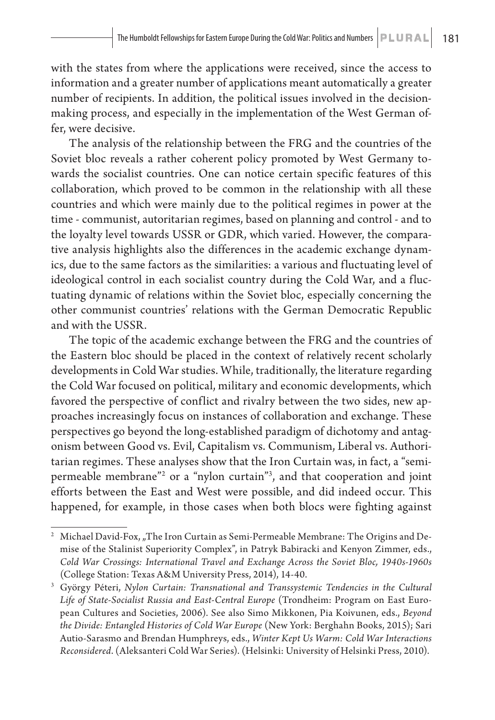with the states from where the applications were received, since the access to information and a greater number of applications meant automatically a greater number of recipients. In addition, the political issues involved in the decisionmaking process, and especially in the implementation of the West German offer, were decisive.

The analysis of the relationship between the FRG and the countries of the Soviet bloc reveals a rather coherent policy promoted by West Germany towards the socialist countries. One can notice certain specific features of this collaboration, which proved to be common in the relationship with all these countries and which were mainly due to the political regimes in power at the time - communist, autoritarian regimes, based on planning and control - and to the loyalty level towards USSR or GDR, which varied. However, the comparative analysis highlights also the differences in the academic exchange dynamics, due to the same factors as the similarities: a various and fluctuating level of ideological control in each socialist country during the Cold War, and a fluctuating dynamic of relations within the Soviet bloc, especially concerning the other communist countries' relations with the German Democratic Republic and with the USSR.

The topic of the academic exchange between the FRG and the countries of the Eastern bloc should be placed in the context of relatively recent scholarly developments in Cold War studies. While, traditionally, the literature regarding the Cold War focused on political, military and economic developments, which favored the perspective of conflict and rivalry between the two sides, new approaches increasingly focus on instances of collaboration and exchange. These perspectives go beyond the long-established paradigm of dichotomy and antagonism between Good vs. Evil, Capitalism vs. Communism, Liberal vs. Authoritarian regimes. These analyses show that the Iron Curtain was, in fact, a "semipermeable membrane"2 or a "nylon curtain"3 , and that cooperation and joint efforts between the East and West were possible, and did indeed occur. This happened, for example, in those cases when both blocs were fighting against

<sup>2</sup> Michael David-Fox, "The Iron Curtain as Semi-Permeable Membrane: The Origins and Demise of the Stalinist Superiority Complex", in Patryk Babiracki and Kenyon Zimmer, eds., *Cold War Crossings: International Travel and Exchange Across the Soviet Bloc, 1940s-1960s* (College Station: Texas A&M University Press, 2014), 14-40.

<sup>3</sup> György Péteri, *Nylon Curtain: Transnational and Transsystemic Tendencies in the Cultural Life of State-Socialist Russia and East-Central Europe* (Trondheim: Program on East European Cultures and Societies, 2006). See also Simo Mikkonen, Pia Koivunen, eds., *Beyond the Divide: Entangled Histories of Cold War Europe* (New York: Berghahn Books, 2015); Sari Autio-Sarasmo and Brendan Humphreys, eds., *Winter Kept Us Warm: Cold War Interactions Reconsidered*. (Aleksanteri Cold War Series). (Helsinki: University of Helsinki Press, 2010).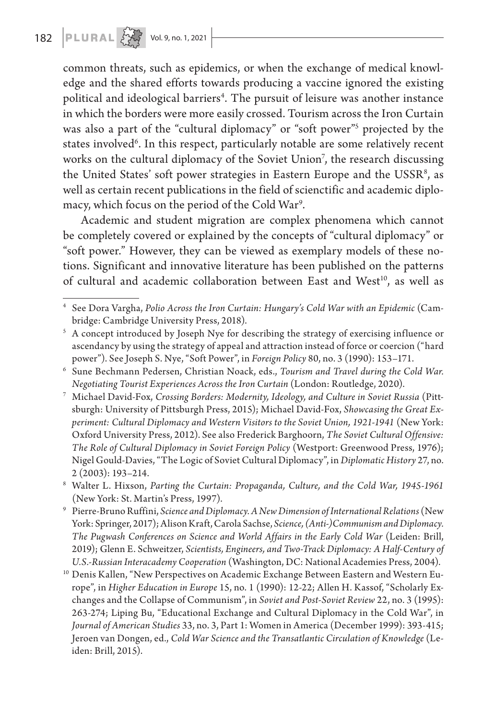common threats, such as epidemics, or when the exchange of medical knowledge and the shared efforts towards producing a vaccine ignored the existing political and ideological barriers<sup>4</sup>. The pursuit of leisure was another instance in which the borders were more easily crossed. Tourism across the Iron Curtain was also a part of the "cultural diplomacy" or "soft power"5 projected by the states involved<sup>6</sup>. In this respect, particularly notable are some relatively recent works on the cultural diplomacy of the Soviet Union<sup>7</sup>, the research discussing the United States' soft power strategies in Eastern Europe and the USSR<sup>8</sup>, as well as certain recent publications in the field of scienctific and academic diplomacy, which focus on the period of the Cold War9 .

Academic and student migration are complex phenomena which cannot be completely covered or explained by the concepts of "cultural diplomacy" or "soft power." However, they can be viewed as exemplary models of these notions. Significant and innovative literature has been published on the patterns of cultural and academic collaboration between East and West<sup>10</sup>, as well as

<sup>4</sup> See Dora Vargha, *Polio Across the Iron Curtain: Hungary's Cold War with an Epidemic* (Cambridge: Cambridge University Press, 2018).

<sup>&</sup>lt;sup>5</sup> A concept introduced by Joseph Nye for describing the strategy of exercising influence or ascendancy by using the strategy of appeal and attraction instead of force or coercion ("hard power"). See Joseph S. Nye, "Soft Power", in *Foreign Policy* 80, no. 3 (1990): 153–171.

<sup>6</sup> Sune Bechmann Pedersen, Christian Noack, eds., *Tourism and Travel during the Cold War. Negotiating Tourist Experiences Across the Iron Curtain* (London: Routledge, 2020). 7 Michael David-Fox, *Crossing Borders: Modernity, Ideology, and Culture in Soviet Russia* (Pitt-

sburgh: University of Pittsburgh Press, 2015); Michael David-Fox, *Showcasing the Great Experiment: Cultural Diplomacy and Western Visitors to the Soviet Union, 1921-1941* (New York: Oxford University Press, 2012). See also Frederick Barghoorn, *The Soviet Cultural Offensive: The Role of Cultural Diplomacy in Soviet Foreign Policy* (Westport: Greenwood Press, 1976); Nigel Gould-Davies, "The Logic of Soviet Cultural Diplomacy", in *Diplomatic History* 27, no. 2 (2003): 193–214.

<sup>8</sup> Walter L. Hixson, *Parting the Curtain: Propaganda, Culture, and the Cold War, 1945-1961* (New York: St. Martin's Press, 1997).

<sup>9</sup> Pierre-Bruno Ruffini, *Science and Diplomacy. A New Dimension of International Relations* (New York: Springer, 2017); Alison Kraft, Carola Sachse, *Science, (Anti-)Communism and Diplomacy. The Pugwash Conferences on Science and World Affairs in the Early Cold War* (Leiden: Brill, 2019); Glenn E. Schweitzer, *Scientists, Engineers, and Two-Track Diplomacy: A Half-Century of U.S.-Russian Interacademy Cooperation* (Washington, DC: National Academies Press, 2004).

<sup>&</sup>lt;sup>10</sup> Denis Kallen, "New Perspectives on Academic Exchange Between Eastern and Western Europe", in *Higher Education in Europe* 15, no. 1 (1990): 12-22; Allen H. Kassof, "Scholarly Exchanges and the Collapse of Communism", in *Soviet and Post-Soviet Review* 22, no. 3 (1995): 263-274; Liping Bu, "Educational Exchange and Cultural Diplomacy in the Cold War", in *Journal of American Studies* 33, no. 3, Part 1: Women in America (December 1999): 393-415; Jeroen van Dongen, ed., *Cold War Science and the Transatlantic Circulation of Knowledge* (Leiden: Brill, 2015).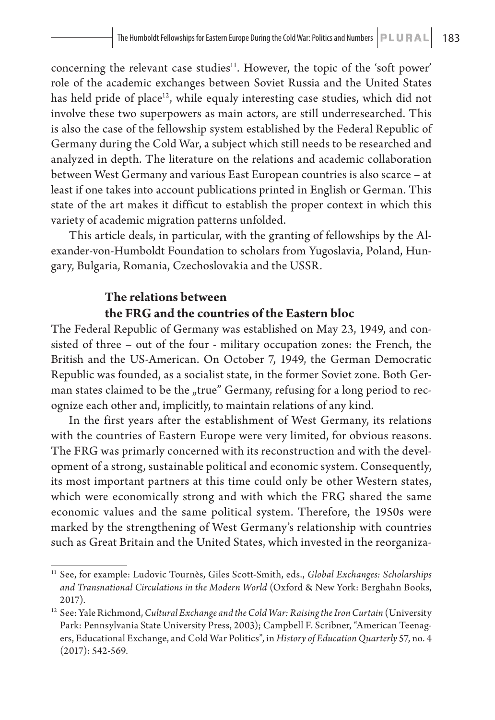concerning the relevant case studies<sup>11</sup>. However, the topic of the 'soft power' role of the academic exchanges between Soviet Russia and the United States has held pride of place<sup>12</sup>, while equaly interesting case studies, which did not involve these two superpowers as main actors, are still underresearched. This is also the case of the fellowship system established by the Federal Republic of Germany during the Cold War, a subject which still needs to be researched and analyzed in depth. The literature on the relations and academic collaboration between West Germany and various East European countries is also scarce – at least if one takes into account publications printed in English or German. This state of the art makes it difficut to establish the proper context in which this variety of academic migration patterns unfolded.

This article deals, in particular, with the granting of fellowships by the Alexander-von-Humboldt Foundation to scholars from Yugoslavia, Poland, Hungary, Bulgaria, Romania, Czechoslovakia and the USSR.

#### **The relations between the FRG and the countries of the Eastern bloc**

The Federal Republic of Germany was established on May 23, 1949, and consisted of three – out of the four - military occupation zones: the French, the British and the US-American. On October 7, 1949, the German Democratic Republic was founded, as a socialist state, in the former Soviet zone. Both German states claimed to be the "true" Germany, refusing for a long period to recognize each other and, implicitly, to maintain relations of any kind.

In the first years after the establishment of West Germany, its relations with the countries of Eastern Europe were very limited, for obvious reasons. The FRG was primarly concerned with its reconstruction and with the development of a strong, sustainable political and economic system. Consequently, its most important partners at this time could only be other Western states, which were economically strong and with which the FRG shared the same economic values and the same political system. Therefore, the 1950s were marked by the strengthening of West Germany's relationship with countries such as Great Britain and the United States, which invested in the reorganiza-

<sup>11</sup> See, for example: Ludovic Tournès, Giles Scott-Smith, eds., *Global Exchanges: Scholarships and Transnational Circulations in the Modern World* (Oxford & New York: Berghahn Books, 2017).

<sup>12</sup> See: Yale Richmond, *Cultural Exchange and the Cold War: Raising the Iron Curtain* (University Park: Pennsylvania State University Press, 2003); Campbell F. Scribner, "American Teenagers, Educational Exchange, and Cold War Politics", in *History of Education Quarterly* 57, no. 4 (2017): 542-569.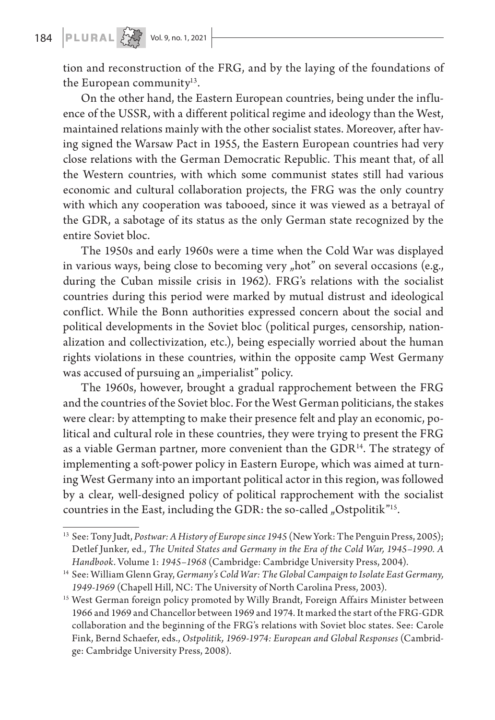### **184 PLURAL**  $\left\{\sum_{i=1}^{N} x_i\right\}$  Vol. 9, no. 1, 2021

tion and reconstruction of the FRG, and by the laying of the foundations of the European community $13$ .

On the other hand, the Eastern European countries, being under the influence of the USSR, with a different political regime and ideology than the West, maintained relations mainly with the other socialist states. Moreover, after having signed the Warsaw Pact in 1955, the Eastern European countries had very close relations with the German Democratic Republic. This meant that, of all the Western countries, with which some communist states still had various economic and cultural collaboration projects, the FRG was the only country with which any cooperation was tabooed, since it was viewed as a betrayal of the GDR, a sabotage of its status as the only German state recognized by the entire Soviet bloc.

The 1950s and early 1960s were a time when the Cold War was displayed in various ways, being close to becoming very "hot" on several occasions (e.g., during the Cuban missile crisis in 1962). FRG's relations with the socialist countries during this period were marked by mutual distrust and ideological conflict. While the Bonn authorities expressed concern about the social and political developments in the Soviet bloc (political purges, censorship, nationalization and collectivization, etc.), being especially worried about the human rights violations in these countries, within the opposite camp West Germany was accused of pursuing an "imperialist" policy.

The 1960s, however, brought a gradual rapprochement between the FRG and the countries of the Soviet bloc. For the West German politicians, the stakes were clear: by attempting to make their presence felt and play an economic, political and cultural role in these countries, they were trying to present the FRG as a viable German partner, more convenient than the GDR<sup>14</sup>. The strategy of implementing a soft-power policy in Eastern Europe, which was aimed at turning West Germany into an important political actor in this region, was followed by a clear, well-designed policy of political rapprochement with the socialist countries in the East, including the GDR: the so-called "Ostpolitik"<sup>15</sup>.

<sup>13</sup> See: Tony Judt, *Postwar: A History of Europe since 1945* (New York: The Penguin Press, 2005); Detlef Junker, ed., *The United States and Germany in the Era of the Cold War, 1945–1990. A Handbook*. Volume 1: *1945–1968* (Cambridge: Cambridge University Press, 2004).

<sup>14</sup> See: William Glenn Gray, *Germany's Cold War: The Global Campaign to Isolate East Germany, 1949-1969* (Chapell Hill, NC: The University of North Carolina Press, 2003).

<sup>&</sup>lt;sup>15</sup> West German foreign policy promoted by Willy Brandt, Foreign Affairs Minister between 1966 and 1969 and Chancellor between 1969 and 1974. It marked the start of the FRG-GDR collaboration and the beginning of the FRG's relations with Soviet bloc states. See: Carole Fink, Bernd Schaefer, eds., *Ostpolitik, 1969-1974: European and Global Responses* (Cambridge: Cambridge University Press, 2008).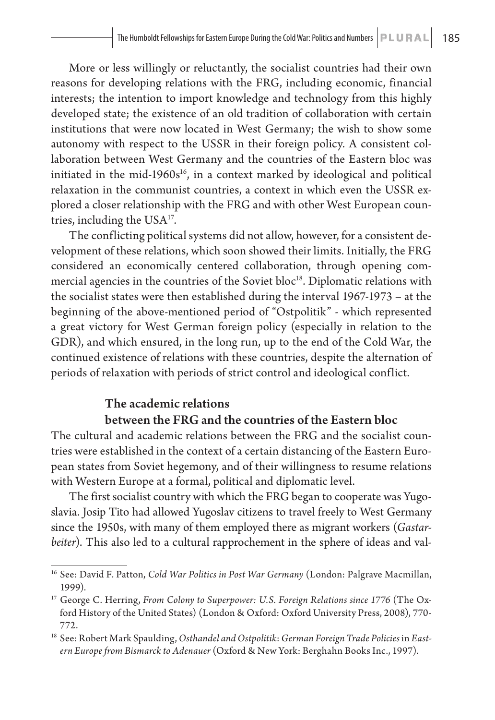More or less willingly or reluctantly, the socialist countries had their own reasons for developing relations with the FRG, including economic, financial interests; the intention to import knowledge and technology from this highly developed state; the existence of an old tradition of collaboration with certain institutions that were now located in West Germany; the wish to show some autonomy with respect to the USSR in their foreign policy. A consistent collaboration between West Germany and the countries of the Eastern bloc was initiated in the mid-1960 $s<sup>16</sup>$ , in a context marked by ideological and political relaxation in the communist countries, a context in which even the USSR explored a closer relationship with the FRG and with other West European countries, including the  $USA^{17}$ .

The conflicting political systems did not allow, however, for a consistent development of these relations, which soon showed their limits. Initially, the FRG considered an economically centered collaboration, through opening commercial agencies in the countries of the Soviet bloc<sup>18</sup>. Diplomatic relations with the socialist states were then established during the interval 1967-1973 – at the beginning of the above-mentioned period of "Ostpolitik" - which represented a great victory for West German foreign policy (especially in relation to the GDR), and which ensured, in the long run, up to the end of the Cold War, the continued existence of relations with these countries, despite the alternation of periods of relaxation with periods of strict control and ideological conflict.

### The academic relations

#### between the FRG and the countries of the Eastern bloc

The cultural and academic relations between the FRG and the socialist countries were established in the context of a certain distancing of the Eastern European states from Soviet hegemony, and of their willingness to resume relations with Western Europe at a formal, political and diplomatic level.

The first socialist country with which the FRG began to cooperate was Yugoslavia. Josip Tito had allowed Yugoslav citizens to travel freely to West Germany since the 1950s, with many of them employed there as migrant workers (*Gastarbeiter*). This also led to a cultural rapprochement in the sphere of ideas and val-

<sup>16</sup> See: David F. Patton, *Cold War Politics in Post War Germany* (London: Palgrave Macmillan, 1999).

<sup>&</sup>lt;sup>17</sup> George C. Herring, *From Colony to Superpower: U.S. Foreign Relations since 1776* (The Oxford History of the United States) (London & Oxford: Oxford University Press, 2008), 770- 772.

<sup>&</sup>lt;sup>18</sup> See: Robert Mark Spaulding, Osthandel and Ostpolitik: German Foreign Trade Policies in East*ern Europe from Bismarck to Adenauer* (Oxford & New York: Berghahn Books Inc., 1997).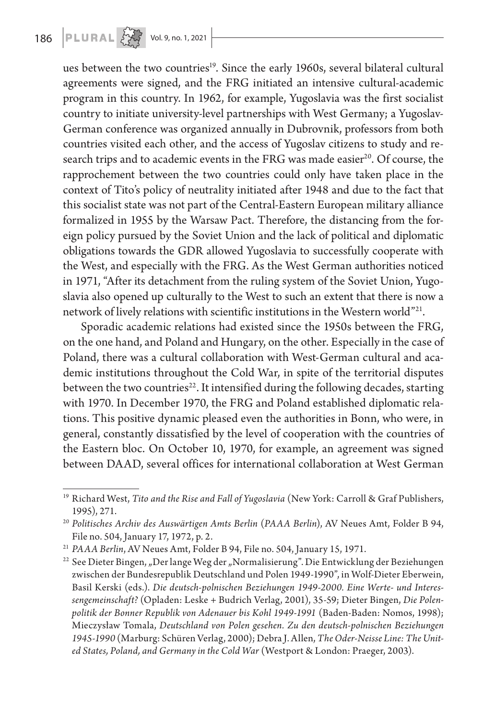ues between the two countries<sup>19</sup>. Since the early 1960s, several bilateral cultural agreements were signed, and the FRG initiated an intensive cultural-academic program in this country. In 1962, for example, Yugoslavia was the first socialist country to initiate university-level partnerships with West Germany; a Yugoslav-German conference was organized annually in Dubrovnik, professors from both countries visited each other, and the access of Yugoslav citizens to study and research trips and to academic events in the FRG was made easier<sup>20</sup>. Of course, the rapprochement between the two countries could only have taken place in the context of Tito's policy of neutrality initiated after 1948 and due to the fact that this socialist state was not part of the Central-Eastern European military alliance formalized in 1955 by the Warsaw Pact. Therefore, the distancing from the foreign policy pursued by the Soviet Union and the lack of political and diplomatic obligations towards the GDR allowed Yugoslavia to successfully cooperate with the West, and especially with the FRG. As the West German authorities noticed in 1971, "After its detachment from the ruling system of the Soviet Union, Yugoslavia also opened up culturally to the West to such an extent that there is now a network of lively relations with scientific institutions in the Western world"21.

Sporadic academic relations had existed since the 1950s between the FRG, on the one hand, and Poland and Hungary, on the other. Especially in the case of Poland, there was a cultural collaboration with West-German cultural and academic institutions throughout the Cold War, in spite of the territorial disputes between the two countries<sup>22</sup>. It intensified during the following decades, starting with 1970. In December 1970, the FRG and Poland established diplomatic relations. This positive dynamic pleased even the authorities in Bonn, who were, in general, constantly dissatisfied by the level of cooperation with the countries of the Eastern bloc. On October 10, 1970, for example, an agreement was signed between DAAD, several offices for international collaboration at West German

<sup>19</sup> Richard West, *Tito and the Rise and Fall of Yugoslavia* (New York: Carroll & Graf Publishers, 1995), 271.

<sup>20</sup> *Politisches Archiv des Auswärtigen Amts Berlin* (*PAAA Berlin*), AV Neues Amt, Folder B 94, File no. 504, January 17, 1972, p. 2.

<sup>21</sup> *PAAA Berlin*, AV Neues Amt, Folder B 94, File no. 504, January 15, 1971.

<sup>&</sup>lt;sup>22</sup> See Dieter Bingen, "Der lange Weg der "Normalisierung". Die Entwicklung der Beziehungen zwischen der Bundesrepublik Deutschland und Polen 1949-1990", in Wolf-Dieter Eberwein, Basil Kerski (eds.). *Die deutsch-polnischen Beziehungen 1949-2000. Eine Werte- und Interessengemeinschaft?* (Opladen: Leske + Budrich Verlag, 2001), 35-59; Dieter Bingen, *Die Polenpolitik der Bonner Republik von Adenauer bis Kohl 1949-1991* (Baden-Baden: Nomos, 1998); Mieczysław Tomala, *Deutschland von Polen gesehen. Zu den deutsch-polnischen Beziehungen 1945-1990* (Marburg: Schüren Verlag, 2000); Debra J. Allen, *The Oder-Neisse Line: The United States, Poland, and Germany in the Cold War* (Westport & London: Praeger, 2003).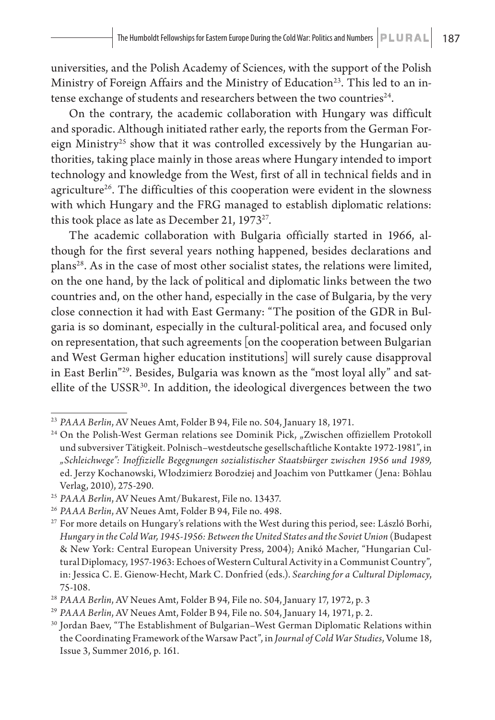universities, and the Polish Academy of Sciences, with the support of the Polish Ministry of Foreign Affairs and the Ministry of Education<sup>23</sup>. This led to an intense exchange of students and researchers between the two countries<sup>24</sup>.

On the contrary, the academic collaboration with Hungary was difficult and sporadic. Although initiated rather early, the reports from the German Foreign Ministry<sup>25</sup> show that it was controlled excessively by the Hungarian authorities, taking place mainly in those areas where Hungary intended to import technology and knowledge from the West, first of all in technical fields and in agriculture<sup>26</sup>. The difficulties of this cooperation were evident in the slowness with which Hungary and the FRG managed to establish diplomatic relations: this took place as late as December 21,  $1973^{27}$ .

The academic collaboration with Bulgaria officially started in 1966, although for the first several years nothing happened, besides declarations and plans<sup>28</sup>. As in the case of most other socialist states, the relations were limited, on the one hand, by the lack of political and diplomatic links between the two countries and, on the other hand, especially in the case of Bulgaria, by the very close connection it had with East Germany: "The position of the GDR in Bulgaria is so dominant, especially in the cultural-political area, and focused only on representation, that such agreements [on the cooperation between Bulgarian and West German higher education institutions] will surely cause disapproval in East Berlin"29. Besides, Bulgaria was known as the "most loyal ally" and satellite of the USSR<sup>30</sup>. In addition, the ideological divergences between the two

<sup>23</sup> *PAAA Berlin*, AV Neues Amt, Folder B 94, File no. 504, January 18, 1971.

<sup>&</sup>lt;sup>24</sup> On the Polish-West German relations see Dominik Pick, "Zwischen offiziellem Protokoll und subversiver Tätigkeit. Polnisch–westdeutsche gesellschaftliche Kontakte 1972-1981", in *"Schleichwege": Inoffizielle Begegnungen sozialistischer Staatsbürger zwischen 1956 und 1989,* ed. Jerzy Kochanowski, Włodzimierz Borodziej and Joachim von Puttkamer (Jena: Böhlau Verlag, 2010), 275-290.

<sup>25</sup> *PAAA Berlin*, AV Neues Amt/Bukarest, File no. 13437.

<sup>26</sup> *PAAA Berlin*, AV Neues Amt, Folder B 94, File no. 498.

<sup>&</sup>lt;sup>27</sup> For more details on Hungary's relations with the West during this period, see: László Borhi, *Hungary in the Cold War, 1945-1956: Between the United States and the Soviet Union* (Budapest & New York: Central European University Press, 2004); Anikó Macher, "Hungarian Cultural Diplomacy, 1957-1963: Echoes of Western Cultural Activity in a Communist Country", in: Jessica C. E. Gienow-Hecht, Mark C. Donfried (eds.). *Searching for a Cultural Diplomacy*, 75-108.

<sup>28</sup> *PAAA Berlin*, AV Neues Amt, Folder B 94, File no. 504, January 17, 1972, p. 3

<sup>29</sup> *PAAA Berlin*, AV Neues Amt, Folder B 94, File no. 504, January 14, 1971, p. 2.

<sup>30</sup> Jordan Baev, "The Establishment of Bulgarian–West German Diplomatic Relations within the Coordinating Framework of the Warsaw Pact", in *Journal of Cold War Studies*, Volume 18, Issue 3, Summer 2016, p. 161.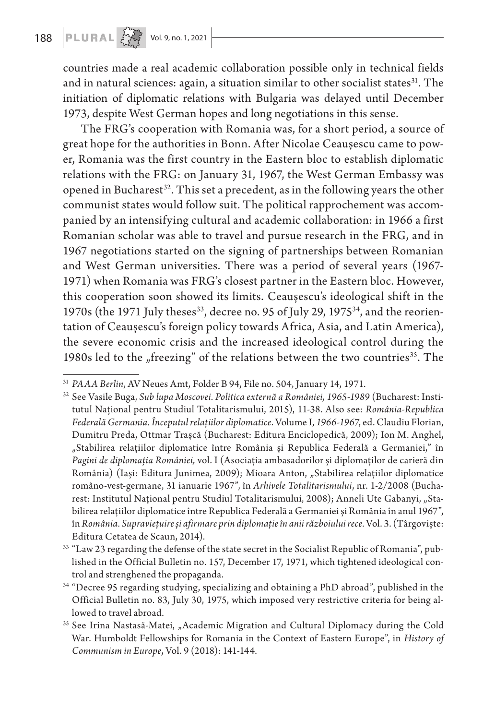countries made a real academic collaboration possible only in technical fields and in natural sciences: again, a situation similar to other socialist states<sup>31</sup>. The initiation of diplomatic relations with Bulgaria was delayed until December 1973, despite West German hopes and long negotiations in this sense.

The FRG's cooperation with Romania was, for a short period, a source of great hope for the authorities in Bonn. After Nicolae Ceaușescu came to power, Romania was the first country in the Eastern bloc to establish diplomatic relations with the FRG: on January 31, 1967, the West German Embassy was opened in Bucharest<sup>32</sup>. This set a precedent, as in the following years the other communist states would follow suit. The political rapprochement was accompanied by an intensifying cultural and academic collaboration: in 1966 a first Romanian scholar was able to travel and pursue research in the FRG, and in 1967 negotiations started on the signing of partnerships between Romanian and West German universities. There was a period of several years (1967- 1971) when Romania was FRG's closest partner in the Eastern bloc. However, this cooperation soon showed its limits. Ceaușescu's ideological shift in the 1970s (the 1971 July theses<sup>33</sup>, decree no. 95 of July 29, 1975<sup>34</sup>, and the reorientation of Ceaușescu's foreign policy towards Africa, Asia, and Latin America), the severe economic crisis and the increased ideological control during the 1980s led to the "freezing" of the relations between the two countries<sup>35</sup>. The

<sup>31</sup> *PAAA Berlin*, AV Neues Amt, Folder B 94, File no. 504, January 14, 1971.

<sup>32</sup> See Vasile Buga, *Sub lupa Moscovei. Politica externă a României, 1965-1989* (Bucharest: Institutul Național pentru Studiul Totalitarismului, 2015), 11-38. Also see: *România-Republica Federală Germania. Începutul relațiilor diplomatice*. Volume I, *1966-1967*, ed. Claudiu Florian, Dumitru Preda, Ottmar Trașcă (Bucharest: Editura Enciclopedică, 2009); Ion M. Anghel, "Stabilirea relațiilor diplomatice între România și Republica Federală a Germaniei," în *Pagini de diplomația României,* vol. I (Asociația ambasadorilor și diplomaților de carieră din România) (Iași: Editura Junimea, 2009); Mioara Anton, "Stabilirea relațiilor diplomatice româno-vest-germane, 31 ianuarie 1967", în *Arhivele Totalitarismului*, nr. 1-2/2008 (Bucharest: Institutul Național pentru Studiul Totalitarismului, 2008); Anneli Ute Gabanyi, "Stabilirea relațiilor diplomatice între Republica Federală a Germaniei și România în anul 1967", în *România. Supraviețuire și afirmare prin diplomație în anii războiului rece.* Vol. 3. (Târgoviște: Editura Cetatea de Scaun, 2014).

<sup>&</sup>lt;sup>33</sup> "Law 23 regarding the defense of the state secret in the Socialist Republic of Romania", published in the Official Bulletin no. 157, December 17, 1971, which tightened ideological control and strenghened the propaganda.

<sup>34</sup> "Decree 95 regarding studying, specializing and obtaining a PhD abroad", published in the Official Bulletin no. 83, July 30, 1975, which imposed very restrictive criteria for being allowed to travel abroad.

<sup>&</sup>lt;sup>35</sup> See Irina Nastasă-Matei, "Academic Migration and Cultural Diplomacy during the Cold War. Humboldt Fellowships for Romania in the Context of Eastern Europe", in *History of Communism in Europe*, Vol. 9 (2018): 141-144.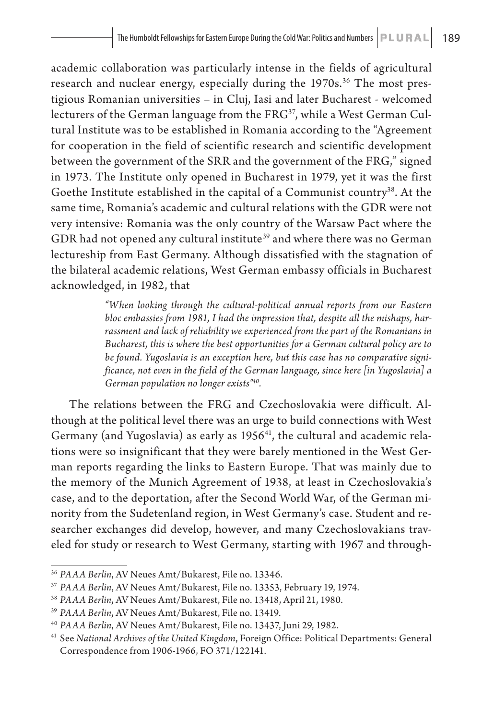academic collaboration was particularly intense in the fields of agricultural research and nuclear energy, especially during the 1970s.<sup>36</sup> The most prestigious Romanian universities – in Cluj, Iasi and later Bucharest - welcomed lecturers of the German language from the FRG<sup>37</sup>, while a West German Cultural Institute was to be established in Romania according to the "Agreement for cooperation in the field of scientific research and scientific development between the government of the SRR and the government of the FRG," signed in 1973. The Institute only opened in Bucharest in 1979, yet it was the first Goethe Institute established in the capital of a Communist country<sup>38</sup>. At the same time, Romania's academic and cultural relations with the GDR were not very intensive: Romania was the only country of the Warsaw Pact where the GDR had not opened any cultural institute<sup>39</sup> and where there was no German lectureship from East Germany. Although dissatisfied with the stagnation of the bilateral academic relations, West German embassy officials in Bucharest acknowledged, in 1982, that

> *"When looking through the cultural-political annual reports from our Eastern bloc embassies from 1981, I had the impression that, despite all the mishaps, harrassment and lack of reliability we experienced from the part of the Romanians in Bucharest, this is where the best opportunities for a German cultural policy are to be found. Yugoslavia is an exception here, but this case has no comparative significance, not even in the field of the German language, since here [in Yugoslavia] a German population no longer exists"40.*

The relations between the FRG and Czechoslovakia were difficult. Although at the political level there was an urge to build connections with West Germany (and Yugoslavia) as early as 1956<sup>41</sup>, the cultural and academic relations were so insignificant that they were barely mentioned in the West German reports regarding the links to Eastern Europe. That was mainly due to the memory of the Munich Agreement of 1938, at least in Czechoslovakia's case, and to the deportation, after the Second World War, of the German minority from the Sudetenland region, in West Germany's case. Student and researcher exchanges did develop, however, and many Czechoslovakians traveled for study or research to West Germany, starting with 1967 and through-

<sup>36</sup> *PAAA Berlin*, AV Neues Amt/Bukarest, File no. 13346.

<sup>37</sup> *PAAA Berlin*, AV Neues Amt/Bukarest, File no. 13353, February 19, 1974.

<sup>38</sup> *PAAA Berlin*, AV Neues Amt/Bukarest, File no. 13418, April 21, 1980.

<sup>39</sup> *PAAA Berlin*, AV Neues Amt/Bukarest, File no. 13419.

<sup>40</sup> *PAAA Berlin*, AV Neues Amt/Bukarest, File no. 13437, Juni 29, 1982.

<sup>41</sup> See *National Archives of the United Kingdom*, Foreign Office: Political Departments: General Correspondence from 1906-1966, FO 371/122141.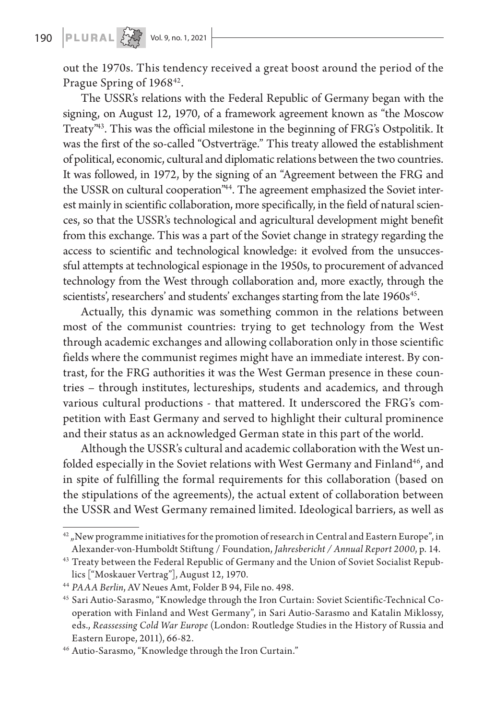## 190 **PLURAL**  $\left\{\begin{matrix} 1 & 0 \\ 0 & 0 \end{matrix}\right\}$  Vol. 9, no. 1, 2021

out the 1970s. This tendency received a great boost around the period of the Prague Spring of 1968<sup>42</sup>.

The USSR's relations with the Federal Republic of Germany began with the signing, on August 12, 1970, of a framework agreement known as "the Moscow Treaty"43. This was the official milestone in the beginning of FRG's Ostpolitik. It was the first of the so-called "Ostverträge." This treaty allowed the establishment of political, economic, cultural and diplomatic relations between the two countries. It was followed, in 1972, by the signing of an "Agreement between the FRG and the USSR on cultural cooperation<sup>"44</sup>. The agreement emphasized the Soviet interest mainly in scientific collaboration, more specifically, in the field of natural sciences, so that the USSR's technological and agricultural development might benefit from this exchange. This was a part of the Soviet change in strategy regarding the access to scientific and technological knowledge: it evolved from the unsuccessful attempts at technological espionage in the 1950s, to procurement of advanced technology from the West through collaboration and, more exactly, through the scientists', researchers' and students' exchanges starting from the late 1960s<sup>45</sup>.

Actually, this dynamic was something common in the relations between most of the communist countries: trying to get technology from the West through academic exchanges and allowing collaboration only in those scientific fields where the communist regimes might have an immediate interest. By contrast, for the FRG authorities it was the West German presence in these countries – through institutes, lectureships, students and academics, and through various cultural productions - that mattered. It underscored the FRG's competition with East Germany and served to highlight their cultural prominence and their status as an acknowledged German state in this part of the world.

Although the USSR's cultural and academic collaboration with the West unfolded especially in the Soviet relations with West Germany and Finland<sup>46</sup>, and in spite of fulfilling the formal requirements for this collaboration (based on the stipulations of the agreements), the actual extent of collaboration between the USSR and West Germany remained limited. Ideological barriers, as well as

 $42$  "New programme initiatives for the promotion of research in Central and Eastern Europe", in Alexander-von-Humboldt Stiftung / Foundation, *Jahresbericht / Annual Report 2000*, p. 14.

<sup>&</sup>lt;sup>43</sup> Treaty between the Federal Republic of Germany and the Union of Soviet Socialist Republics ["Moskauer Vertrag"], August 12, 1970.

<sup>44</sup> *PAAA Berlin*, AV Neues Amt, Folder B 94, File no. 498.

<sup>45</sup> Sari Autio-Sarasmo, "Knowledge through the Iron Curtain: Soviet Scientific-Technical Cooperation with Finland and West Germany", in Sari Autio-Sarasmo and Katalin Miklossy, eds., *Reassessing Cold War Europe* (London: Routledge Studies in the History of Russia and Eastern Europe, 2011), 66-82.

<sup>46</sup> Autio-Sarasmo, "Knowledge through the Iron Curtain."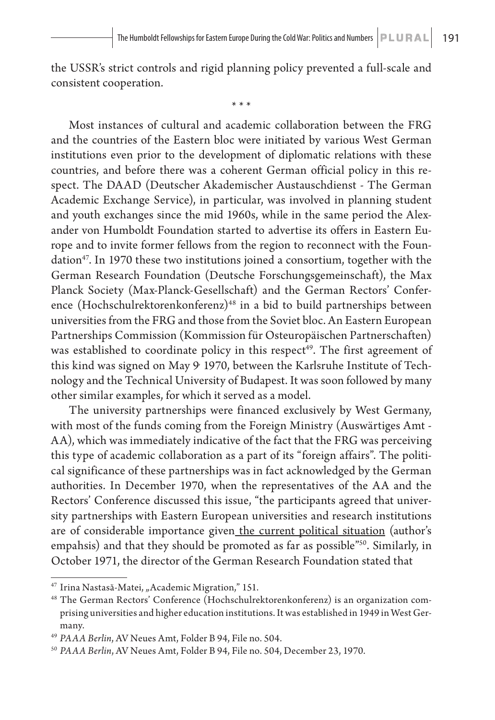the USSR's strict controls and rigid planning policy prevented a full-scale and consistent cooperation.

\* \* \*

Most instances of cultural and academic collaboration between the FRG and the countries of the Eastern bloc were initiated by various West German institutions even prior to the development of diplomatic relations with these countries, and before there was a coherent German official policy in this respect. The DAAD (Deutscher Akademischer Austauschdienst - The German Academic Exchange Service), in particular, was involved in planning student and youth exchanges since the mid 1960s, while in the same period the Alexander von Humboldt Foundation started to advertise its offers in Eastern Europe and to invite former fellows from the region to reconnect with the Foundation47. In 1970 these two institutions joined a consortium, together with the German Research Foundation (Deutsche Forschungsgemeinschaft), the Max Planck Society (Max-Planck-Gesellschaft) and the German Rectors' Conference (Hochschulrektorenkonferenz)<sup>48</sup> in a bid to build partnerships between universities from the FRG and those from the Soviet bloc. An Eastern European Partnerships Commission (Kommission für Osteuropäischen Partnerschaften) was established to coordinate policy in this respect<sup>49</sup>. The first agreement of this kind was signed on May 9, 1970, between the Karlsruhe Institute of Technology and the Technical University of Budapest. It was soon followed by many other similar examples, for which it served as a model.

The university partnerships were financed exclusively by West Germany, with most of the funds coming from the Foreign Ministry (Auswärtiges Amt - AA), which was immediately indicative of the fact that the FRG was perceiving this type of academic collaboration as a part of its "foreign affairs". The political significance of these partnerships was in fact acknowledged by the German authorities. In December 1970, when the representatives of the AA and the Rectors' Conference discussed this issue, "the participants agreed that university partnerships with Eastern European universities and research institutions are of considerable importance given the current political situation (author's empahsis) and that they should be promoted as far as possible"<sup>50</sup>. Similarly, in October 1971, the director of the German Research Foundation stated that

<sup>&</sup>lt;sup>47</sup> Irina Nastasă-Matei, "Academic Migration," 151.

<sup>48</sup> The German Rectors' Conference (Hochschulrektorenkonferenz) is an organization comprising universities and higher education institutions. It was established in 1949 in West Germany.

<sup>49</sup> *PAAA Berlin*, AV Neues Amt, Folder B 94, File no. 504.

<sup>50</sup> *PAAA Berlin*, AV Neues Amt, Folder B 94, File no. 504, December 23, 1970.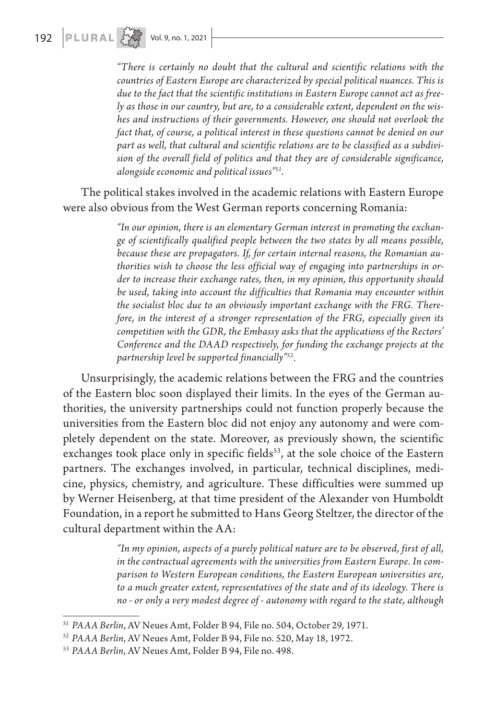*"There is certainly no doubt that the cultural and scientific relations with the countries of Eastern Europe are characterized by special political nuances. This is due to the fact that the scientific institutions in Eastern Europe cannot act as freely as those in our country, but are, to a considerable extent, dependent on the wishes and instructions of their governments. However, one should not overlook the fact that, of course, a political interest in these questions cannot be denied on our part as well, that cultural and scientific relations are to be classified as a subdivision of the overall field of politics and that they are of considerable significance, alongside economic and political issues"51.* 

The political stakes involved in the academic relations with Eastern Europe were also obvious from the West German reports concerning Romania:

> *"In our opinion, there is an elementary German interest in promoting the exchange of scientifically qualified people between the two states by all means possible, because these are propagators. If, for certain internal reasons, the Romanian authorities wish to choose the less official way of engaging into partnerships in order to increase their exchange rates, then, in my opinion, this opportunity should be used, taking into account the difficulties that Romania may encounter within the socialist bloc due to an obviously important exchange with the FRG. Therefore, in the interest of a stronger representation of the FRG, especially given its competition with the GDR, the Embassy asks that the applications of the Rectors' Conference and the DAAD respectively, for funding the exchange projects at the partnership level be supported financially"52.*

Unsurprisingly, the academic relations between the FRG and the countries of the Eastern bloc soon displayed their limits. In the eyes of the German authorities, the university partnerships could not function properly because the universities from the Eastern bloc did not enjoy any autonomy and were completely dependent on the state. Moreover, as previously shown, the scientific exchanges took place only in specific fields<sup>53</sup>, at the sole choice of the Eastern partners. The exchanges involved, in particular, technical disciplines, medicine, physics, chemistry, and agriculture. These difficulties were summed up by Werner Heisenberg, at that time president of the Alexander von Humboldt Foundation, in a report he submitted to Hans Georg Steltzer, the director of the cultural department within the AA:

> *"In my opinion, aspects of a purely political nature are to be observed, first of all, in the contractual agreements with the universities from Eastern Europe. In comparison to Western European conditions, the Eastern European universities are, to a much greater extent, representatives of the state and of its ideology. There is no - or only a very modest degree of - autonomy with regard to the state, although*

<sup>51</sup> *PAAA Berlin*, AV Neues Amt, Folder B 94, File no. 504, October 29, 1971.

<sup>52</sup> *PAAA Berlin*, AV Neues Amt, Folder B 94, File no. 520, May 18, 1972.

<sup>53</sup> *PAAA Berlin*, AV Neues Amt, Folder B 94, File no. 498.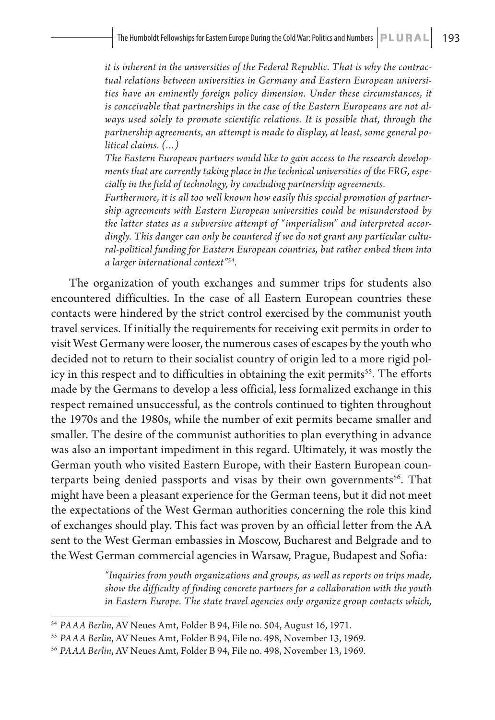*it is inherent in the universities of the Federal Republic. That is why the contractual relations between universities in Germany and Eastern European universities have an eminently foreign policy dimension. Under these circumstances, it is conceivable that partnerships in the case of the Eastern Europeans are not always used solely to promote scientific relations. It is possible that, through the partnership agreements, an attempt is made to display, at least, some general political claims. (…)*

*The Eastern European partners would like to gain access to the research developments that are currently taking place in the technical universities of the FRG, especially in the field of technology, by concluding partnership agreements.* 

*Furthermore, it is all too well known how easily this special promotion of partnership agreements with Eastern European universities could be misunderstood by the latter states as a subversive attempt of "imperialism" and interpreted accordingly. This danger can only be countered if we do not grant any particular cultural-political funding for Eastern European countries, but rather embed them into a larger international context"54.* 

The organization of youth exchanges and summer trips for students also encountered difficulties. In the case of all Eastern European countries these contacts were hindered by the strict control exercised by the communist youth travel services. If initially the requirements for receiving exit permits in order to visit West Germany were looser, the numerous cases of escapes by the youth who decided not to return to their socialist country of origin led to a more rigid policy in this respect and to difficulties in obtaining the exit permits<sup>55</sup>. The efforts made by the Germans to develop a less official, less formalized exchange in this respect remained unsuccessful, as the controls continued to tighten throughout the 1970s and the 1980s, while the number of exit permits became smaller and smaller. The desire of the communist authorities to plan everything in advance was also an important impediment in this regard. Ultimately, it was mostly the German youth who visited Eastern Europe, with their Eastern European counterparts being denied passports and visas by their own governments<sup>56</sup>. That might have been a pleasant experience for the German teens, but it did not meet the expectations of the West German authorities concerning the role this kind of exchanges should play. This fact was proven by an official letter from the AA sent to the West German embassies in Moscow, Bucharest and Belgrade and to the West German commercial agencies in Warsaw, Prague, Budapest and Sofia:

> *"Inquiries from youth organizations and groups, as well as reports on trips made, show the difficulty of finding concrete partners for a collaboration with the youth in Eastern Europe. The state travel agencies only organize group contacts which,*

<sup>54</sup> *PAAA Berlin*, AV Neues Amt, Folder B 94, File no. 504, August 16, 1971.

<sup>55</sup> *PAAA Berlin*, AV Neues Amt, Folder B 94, File no. 498, November 13, 1969.

<sup>56</sup> *PAAA Berlin*, AV Neues Amt, Folder B 94, File no. 498, November 13, 1969.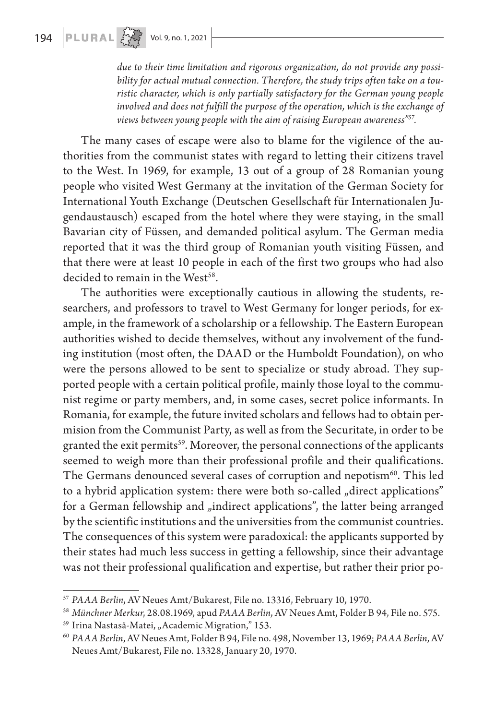*due to their time limitation and rigorous organization, do not provide any possibility for actual mutual connection. Therefore, the study trips often take on a touristic character, which is only partially satisfactory for the German young people involved and does not fulfill the purpose of the operation, which is the exchange of views between young people with the aim of raising European awareness"57.*

The many cases of escape were also to blame for the vigilence of the authorities from the communist states with regard to letting their citizens travel to the West. In 1969, for example, 13 out of a group of 28 Romanian young people who visited West Germany at the invitation of the German Society for International Youth Exchange (Deutschen Gesellschaft für Internationalen Jugendaustausch) escaped from the hotel where they were staying, in the small Bavarian city of Füssen, and demanded political asylum. The German media reported that it was the third group of Romanian youth visiting Füssen, and that there were at least 10 people in each of the first two groups who had also decided to remain in the West<sup>58</sup>.

The authorities were exceptionally cautious in allowing the students, researchers, and professors to travel to West Germany for longer periods, for example, in the framework of a scholarship or a fellowship. The Eastern European authorities wished to decide themselves, without any involvement of the funding institution (most often, the DAAD or the Humboldt Foundation), on who were the persons allowed to be sent to specialize or study abroad. They supported people with a certain political profile, mainly those loyal to the communist regime or party members, and, in some cases, secret police informants. In Romania, for example, the future invited scholars and fellows had to obtain permision from the Communist Party, as well as from the Securitate, in order to be granted the exit permits<sup>59</sup>. Moreover, the personal connections of the applicants seemed to weigh more than their professional profile and their qualifications. The Germans denounced several cases of corruption and nepotism<sup>60</sup>. This led to a hybrid application system: there were both so-called "direct applications" for a German fellowship and "indirect applications", the latter being arranged by the scientific institutions and the universities from the communist countries. The consequences of this system were paradoxical: the applicants supported by their states had much less success in getting a fellowship, since their advantage was not their professional qualification and expertise, but rather their prior po-

<sup>57</sup> *PAAA Berlin*, AV Neues Amt/Bukarest, File no. 13316, February 10, 1970.

<sup>58</sup> *Münchner Merkur*, 28.08.1969, apud *PAAA Berlin*, AV Neues Amt, Folder B 94, File no. 575.

<sup>&</sup>lt;sup>59</sup> Irina Nastasă-Matei, "Academic Migration," 153.

<sup>60</sup> *PAAA Berlin*, AV Neues Amt, Folder B 94, File no. 498, November 13, 1969; *PAAA Berlin*, AV Neues Amt/Bukarest, File no. 13328, January 20, 1970.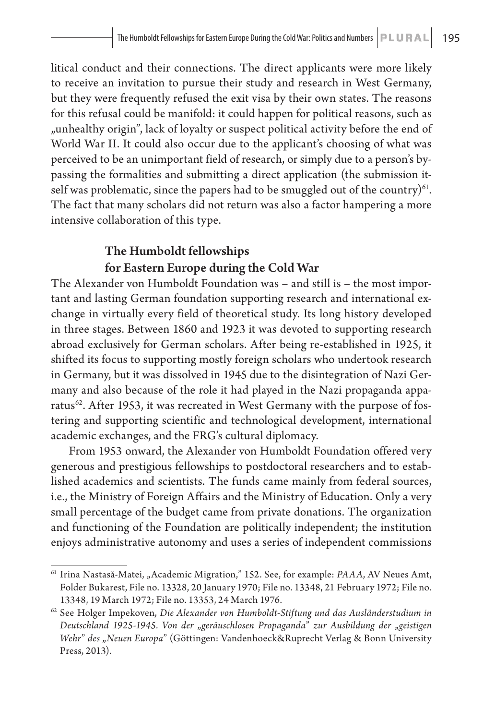litical conduct and their connections. The direct applicants were more likely to receive an invitation to pursue their study and research in West Germany, but they were frequently refused the exit visa by their own states. The reasons for this refusal could be manifold: it could happen for political reasons, such as "unhealthy origin", lack of loyalty or suspect political activity before the end of World War II. It could also occur due to the applicant's choosing of what was perceived to be an unimportant field of research, or simply due to a person's bypassing the formalities and submitting a direct application (the submission itself was problematic, since the papers had to be smuggled out of the country) $61$ . The fact that many scholars did not return was also a factor hampering a more intensive collaboration of this type.

### The Humboldt fellowships for Eastern Europe during the Cold War

The Alexander von Humboldt Foundation was – and still is – the most important and lasting German foundation supporting research and international exchange in virtually every field of theoretical study. Its long history developed in three stages. Between 1860 and 1923 it was devoted to supporting research abroad exclusively for German scholars. After being re-established in 1925, it shifted its focus to supporting mostly foreign scholars who undertook research in Germany, but it was dissolved in 1945 due to the disintegration of Nazi Germany and also because of the role it had played in the Nazi propaganda apparatus $^{62}$ . After 1953, it was recreated in West Germany with the purpose of fostering and supporting scientific and technological development, international academic exchanges, and the FRG's cultural diplomacy.

From 1953 onward, the Alexander von Humboldt Foundation offered very generous and prestigious fellowships to postdoctoral researchers and to established academics and scientists. The funds came mainly from federal sources, i.e., the Ministry of Foreign Affairs and the Ministry of Education. Only a very small percentage of the budget came from private donations. The organization and functioning of the Foundation are politically independent; the institution enjoys administrative autonomy and uses a series of independent commissions

<sup>&</sup>lt;sup>61</sup> Irina Nastasă-Matei, "Academic Migration," 152. See, for example: *PAAA*, AV Neues Amt, Folder Bukarest, File no. 13328, 20 January 1970; File no. 13348, 21 February 1972; File no. 13348, 19 March 1972; File no. 13353, 24 March 1976.

<sup>62</sup> See Holger Impekoven, *Die Alexander von Humboldt-Stiftung und das Ausländerstudium in Deutschland 1925-1945. Von der* "*geräuschlosen Propaganda*" *zur Ausbildung der* "*geistigen Wehr*" *des* "*Neuen Europa*" (Göttingen: Vandenhoeck&Ruprecht Verlag & Bonn University Press, 2013).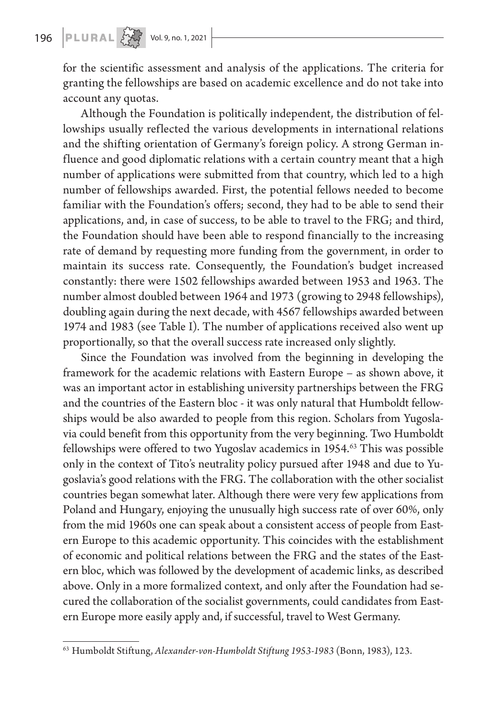# 196 **PLURAL**  $\left\{\begin{matrix} 1 & 0 & 0 \\ 0 & 1 & 0 \\ 0 & 0 & 0 \end{matrix}\right\}$  Vol. 9, no. 1, 2021

for the scientific assessment and analysis of the applications. The criteria for granting the fellowships are based on academic excellence and do not take into account any quotas.

Although the Foundation is politically independent, the distribution of fellowships usually reflected the various developments in international relations and the shifting orientation of Germany's foreign policy. A strong German influence and good diplomatic relations with a certain country meant that a high number of applications were submitted from that country, which led to a high number of fellowships awarded. First, the potential fellows needed to become familiar with the Foundation's offers; second, they had to be able to send their applications, and, in case of success, to be able to travel to the FRG; and third, the Foundation should have been able to respond financially to the increasing rate of demand by requesting more funding from the government, in order to maintain its success rate. Consequently, the Foundation's budget increased constantly: there were 1502 fellowships awarded between 1953 and 1963. The number almost doubled between 1964 and 1973 (growing to 2948 fellowships), doubling again during the next decade, with 4567 fellowships awarded between 1974 and 1983 (see Table I). The number of applications received also went up proportionally, so that the overall success rate increased only slightly.

Since the Foundation was involved from the beginning in developing the framework for the academic relations with Eastern Europe – as shown above, it was an important actor in establishing university partnerships between the FRG and the countries of the Eastern bloc - it was only natural that Humboldt fellowships would be also awarded to people from this region. Scholars from Yugoslavia could benefit from this opportunity from the very beginning. Two Humboldt fellowships were offered to two Yugoslav academics in 1954.<sup>63</sup> This was possible only in the context of Tito's neutrality policy pursued after 1948 and due to Yugoslavia's good relations with the FRG. The collaboration with the other socialist countries began somewhat later. Although there were very few applications from Poland and Hungary, enjoying the unusually high success rate of over 60%, only from the mid 1960s one can speak about a consistent access of people from Eastern Europe to this academic opportunity. This coincides with the establishment of economic and political relations between the FRG and the states of the Eastern bloc, which was followed by the development of academic links, as described above. Only in a more formalized context, and only after the Foundation had secured the collaboration of the socialist governments, could candidates from Eastern Europe more easily apply and, if successful, travel to West Germany.

<sup>63</sup> Humboldt Stiftung, *Alexander-von-Humboldt Stiftung 1953-1983* (Bonn, 1983), 123.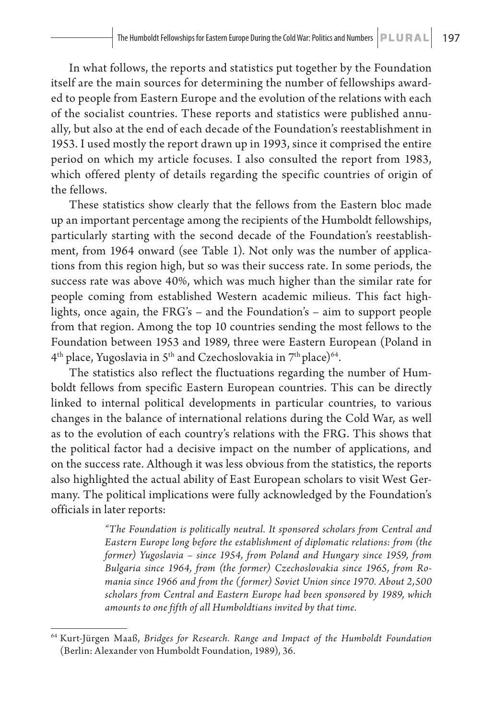In what follows, the reports and statistics put together by the Foundation itself are the main sources for determining the number of fellowships awarded to people from Eastern Europe and the evolution of the relations with each of the socialist countries. These reports and statistics were published annually, but also at the end of each decade of the Foundation's reestablishment in 1953. I used mostly the report drawn up in 1993, since it comprised the entire period on which my article focuses. I also consulted the report from 1983, which offered plenty of details regarding the specific countries of origin of the fellows.

These statistics show clearly that the fellows from the Eastern bloc made up an important percentage among the recipients of the Humboldt fellowships, particularly starting with the second decade of the Foundation's reestablishment, from 1964 onward (see Table 1). Not only was the number of applications from this region high, but so was their success rate. In some periods, the success rate was above 40%, which was much higher than the similar rate for people coming from established Western academic milieus. This fact highlights, once again, the FRG's – and the Foundation's – aim to support people from that region. Among the top 10 countries sending the most fellows to the Foundation between 1953 and 1989, three were Eastern European (Poland in  $4<sup>th</sup>$  place, Yugoslavia in  $5<sup>th</sup>$  and Czechoslovakia in  $7<sup>th</sup>$  place)<sup>64</sup>.

The statistics also reflect the fluctuations regarding the number of Humboldt fellows from specific Eastern European countries. This can be directly linked to internal political developments in particular countries, to various changes in the balance of international relations during the Cold War, as well as to the evolution of each country's relations with the FRG. This shows that the political factor had a decisive impact on the number of applications, and on the success rate. Although it was less obvious from the statistics, the reports also highlighted the actual ability of East European scholars to visit West Germany. The political implications were fully acknowledged by the Foundation's officials in later reports:

> *"The Foundation is politically neutral. It sponsored scholars from Central and Eastern Europe long before the establishment of diplomatic relations: from (the former) Yugoslavia – since 1954, from Poland and Hungary since 1959, from Bulgaria since 1964, from (the former) Czechoslovakia since 1965, from Romania since 1966 and from the (former) Soviet Union since 1970. About 2,500 scholars from Central and Eastern Europe had been sponsored by 1989, which amounts to one fifth of all Humboldtians invited by that time.*

<sup>64</sup> Kurt-Jürgen Maaß, *Bridges for Research. Range and Impact of the Humboldt Foundation* (Berlin: Alexander von Humboldt Foundation, 1989), 36.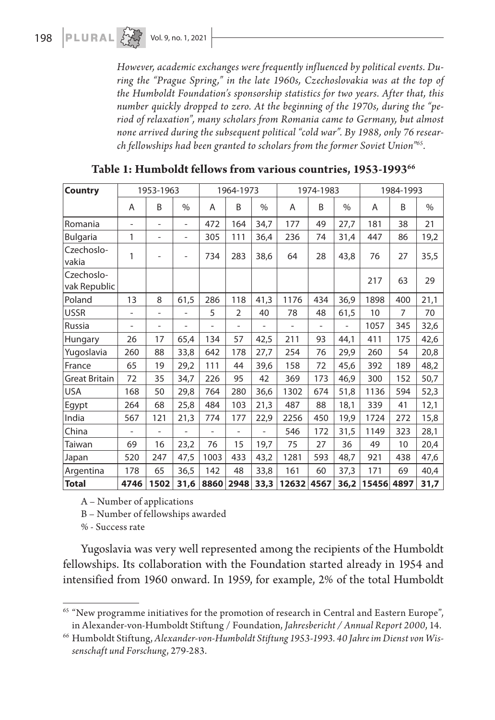*However, academic exchanges were frequently influenced by political events. During the "Prague Spring," in the late 1960s, Czechoslovakia was at the top of the Humboldt Foundation's sponsorship statistics for two years. After that, this number quickly dropped to zero. At the beginning of the 1970s, during the "period of relaxation", many scholars from Romania came to Germany, but almost none arrived during the subsequent political "cold war". By 1988, only 76 research fellowships had been granted to scholars from the former Soviet Union"65.*

| <b>Country</b>             | 1953-1963                |                          |                          | 1964-1973 |                   |               | 1974-1983 |                          |               | 1984-1993 |                |      |
|----------------------------|--------------------------|--------------------------|--------------------------|-----------|-------------------|---------------|-----------|--------------------------|---------------|-----------|----------------|------|
|                            | A                        | B                        | $\frac{0}{0}$            | A         | B                 | $\frac{0}{0}$ | A         | B                        | $\frac{0}{0}$ | A         | B              | $\%$ |
| Romania                    | $\overline{a}$           | $\overline{\phantom{a}}$ | $\overline{\phantom{a}}$ | 472       | 164               | 34,7          | 177       | 49                       | 27,7          | 181       | 38             | 21   |
| <b>Bulgaria</b>            | 1                        | $\overline{\phantom{0}}$ | $\overline{\phantom{0}}$ | 305       | 111               | 36,4          | 236       | 74                       | 31,4          | 447       | 86             | 19,2 |
| Czechoslo-<br>vakia        | 1                        |                          | $\overline{\phantom{a}}$ | 734       | 283               | 38,6          | 64        | 28                       | 43,8          | 76        | 27             | 35,5 |
| Czechoslo-<br>vak Republic |                          |                          |                          |           |                   |               |           |                          |               | 217       | 63             | 29   |
| Poland                     | 13                       | 8                        | 61,5                     | 286       | 118               | 41,3          | 1176      | 434                      | 36,9          | 1898      | 400            | 21,1 |
| <b>USSR</b>                | $\overline{\phantom{0}}$ | $\overline{\phantom{0}}$ |                          | 5         | $\overline{2}$    | 40            | 78        | 48                       | 61,5          | 10        | $\overline{7}$ | 70   |
| Russia                     | $\qquad \qquad -$        | $\overline{\phantom{a}}$ | $\overline{\phantom{a}}$ |           | $\qquad \qquad -$ |               |           | $\overline{\phantom{0}}$ |               | 1057      | 345            | 32,6 |
| Hungary                    | 26                       | 17                       | 65,4                     | 134       | 57                | 42,5          | 211       | 93                       | 44,1          | 411       | 175            | 42,6 |
| Yugoslavia                 | 260                      | 88                       | 33,8                     | 642       | 178               | 27,7          | 254       | 76                       | 29,9          | 260       | 54             | 20,8 |
| France                     | 65                       | 19                       | 29,2                     | 111       | 44                | 39,6          | 158       | 72                       | 45,6          | 392       | 189            | 48,2 |
| Great Britain              | 72                       | 35                       | 34,7                     | 226       | 95                | 42            | 369       | 173                      | 46,9          | 300       | 152            | 50,7 |
| <b>USA</b>                 | 168                      | 50                       | 29,8                     | 764       | 280               | 36,6          | 1302      | 674                      | 51,8          | 1136      | 594            | 52,3 |
| Egypt                      | 264                      | 68                       | 25,8                     | 484       | 103               | 21,3          | 487       | 88                       | 18,1          | 339       | 41             | 12,1 |
| India                      | 567                      | 121                      | 21,3                     | 774       | 177               | 22,9          | 2256      | 450                      | 19,9          | 1724      | 272            | 15,8 |
| China                      |                          |                          |                          |           |                   |               | 546       | 172                      | 31,5          | 1149      | 323            | 28,1 |
| Taiwan                     | 69                       | 16                       | 23,2                     | 76        | 15                | 19,7          | 75        | 27                       | 36            | 49        | 10             | 20,4 |
| Japan                      | 520                      | 247                      | 47,5                     | 1003      | 433               | 43,2          | 1281      | 593                      | 48,7          | 921       | 438            | 47,6 |
| Argentina                  | 178                      | 65                       | 36,5                     | 142       | 48                | 33,8          | 161       | 60                       | 37,3          | 171       | 69             | 40,4 |
| <b>Total</b>               | 4746                     | 1502                     | 31,6                     | 8860      | 2948              | 33,3          | 12632     | 4567                     | 36,2          | 15456     | 4897           | 31,7 |

| Table 1: Humboldt fellows from various countries, 1953-199366 |  |
|---------------------------------------------------------------|--|
|---------------------------------------------------------------|--|

A – Number of applications

B – Number of fellowships awarded

% - Success rate

Yugoslavia was very well represented among the recipients of the Humboldt fellowships. Its collaboration with the Foundation started already in 1954 and intensified from 1960 onward. In 1959, for example, 2% of the total Humboldt

<sup>65</sup> "New programme initiatives for the promotion of research in Central and Eastern Europe", in Alexander-von-Humboldt Stiftung / Foundation, *Jahresbericht / Annual Report 2000*, 14.

<sup>66</sup> Humboldt Stiftung, *Alexander-von-Humboldt Stiftung 1953-1993. 40 Jahre im Dienst von Wissenschaft und Forschung*, 279-283.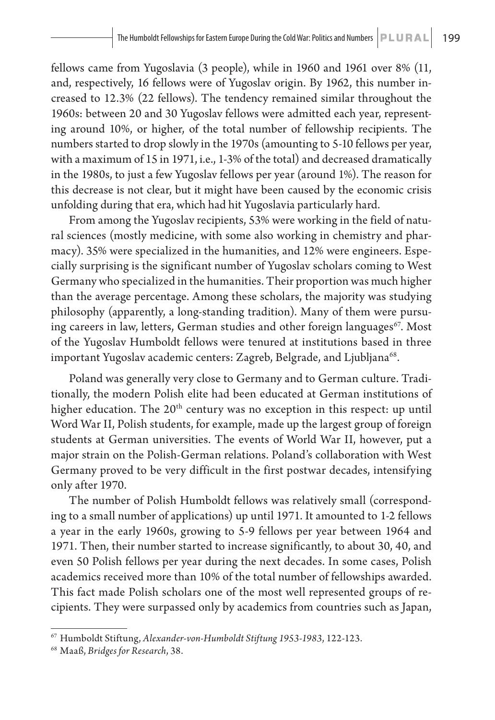fellows came from Yugoslavia (3 people), while in 1960 and 1961 over 8% (11, and, respectively, 16 fellows were of Yugoslav origin. By 1962, this number increased to 12.3% (22 fellows). The tendency remained similar throughout the 1960s: between 20 and 30 Yugoslav fellows were admitted each year, representing around 10%, or higher, of the total number of fellowship recipients. The numbers started to drop slowly in the 1970s (amounting to 5-10 fellows per year, with a maximum of 15 in 1971, i.e., 1-3% of the total) and decreased dramatically in the 1980s, to just a few Yugoslav fellows per year (around 1%). The reason for this decrease is not clear, but it might have been caused by the economic crisis unfolding during that era, which had hit Yugoslavia particularly hard.

From among the Yugoslav recipients, 53% were working in the field of natural sciences (mostly medicine, with some also working in chemistry and pharmacy). 35% were specialized in the humanities, and 12% were engineers. Especially surprising is the significant number of Yugoslav scholars coming to West Germany who specialized in the humanities. Their proportion was much higher than the average percentage. Among these scholars, the majority was studying philosophy (apparently, a long-standing tradition). Many of them were pursuing careers in law, letters, German studies and other foreign languages<sup> $67$ </sup>. Most of the Yugoslav Humboldt fellows were tenured at institutions based in three important Yugoslav academic centers: Zagreb, Belgrade, and Ljubljana<sup>68</sup>.

Poland was generally very close to Germany and to German culture. Traditionally, the modern Polish elite had been educated at German institutions of higher education. The 20<sup>th</sup> century was no exception in this respect: up until Word War II, Polish students, for example, made up the largest group of foreign students at German universities. The events of World War II, however, put a major strain on the Polish-German relations. Poland's collaboration with West Germany proved to be very difficult in the first postwar decades, intensifying only after 1970.

The number of Polish Humboldt fellows was relatively small (corresponding to a small number of applications) up until 1971. It amounted to 1-2 fellows a year in the early 1960s, growing to 5-9 fellows per year between 1964 and 1971. Then, their number started to increase significantly, to about 30, 40, and even 50 Polish fellows per year during the next decades. In some cases, Polish academics received more than 10% of the total number of fellowships awarded. This fact made Polish scholars one of the most well represented groups of recipients. They were surpassed only by academics from countries such as Japan,

<sup>67</sup> Humboldt Stiftung, *Alexander-von-Humboldt Stiftung 1953-1983*, 122-123.

<sup>68</sup> Maaß, *Bridges for Research*, 38.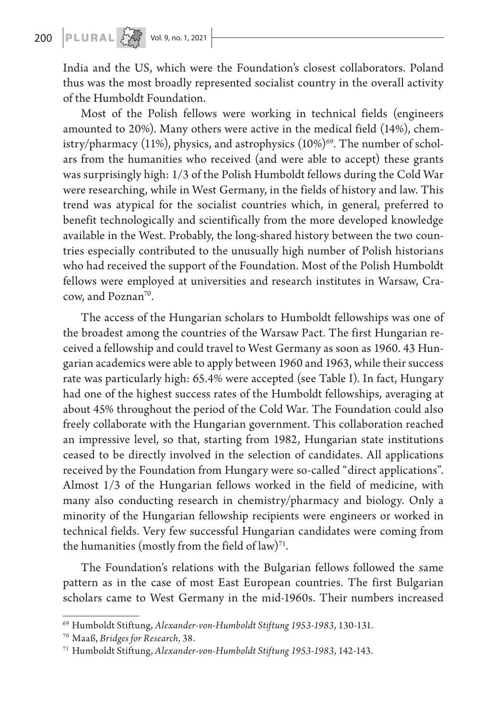# 200 **PLURAL**  $\left\{\begin{matrix} 2 & 3 \\ 3 & 4 \end{matrix}\right\}$  Vol. 9, no. 1, 2021

India and the US, which were the Foundation's closest collaborators. Poland thus was the most broadly represented socialist country in the overall activity of the Humboldt Foundation.

Most of the Polish fellows were working in technical fields (engineers amounted to 20%). Many others were active in the medical field (14%), chemistry/pharmacy (11%), physics, and astrophysics  $(10\%)^{69}$ . The number of scholars from the humanities who received (and were able to accept) these grants was surprisingly high: 1/3 of the Polish Humboldt fellows during the Cold War were researching, while in West Germany, in the fields of history and law. This trend was atypical for the socialist countries which, in general, preferred to benefit technologically and scientifically from the more developed knowledge available in the West. Probably, the long-shared history between the two countries especially contributed to the unusually high number of Polish historians who had received the support of the Foundation. Most of the Polish Humboldt fellows were employed at universities and research institutes in Warsaw, Cracow, and Poznan<sup>70</sup>.

The access of the Hungarian scholars to Humboldt fellowships was one of the broadest among the countries of the Warsaw Pact. The first Hungarian received a fellowship and could travel to West Germany as soon as 1960. 43 Hungarian academics were able to apply between 1960 and 1963, while their success rate was particularly high: 65.4% were accepted (see Table I). In fact, Hungary had one of the highest success rates of the Humboldt fellowships, averaging at about 45% throughout the period of the Cold War. The Foundation could also freely collaborate with the Hungarian government. This collaboration reached an impressive level, so that, starting from 1982, Hungarian state institutions ceased to be directly involved in the selection of candidates. All applications received by the Foundation from Hungary were so-called "direct applications". Almost 1/3 of the Hungarian fellows worked in the field of medicine, with many also conducting research in chemistry/pharmacy and biology. Only a minority of the Hungarian fellowship recipients were engineers or worked in technical fields. Very few successful Hungarian candidates were coming from the humanities (mostly from the field of law) $71$ .

The Foundation's relations with the Bulgarian fellows followed the same pattern as in the case of most East European countries. The first Bulgarian scholars came to West Germany in the mid-1960s. Their numbers increased

<sup>69</sup> Humboldt Stiftung, *Alexander-von-Humboldt Stiftung 1953-1983*, 130-131.

<sup>70</sup> Maaß, *Bridges for Research*, 38.

<sup>71</sup> Humboldt Stiftung, *Alexander-von-Humboldt Stiftung 1953-1983*, 142-143.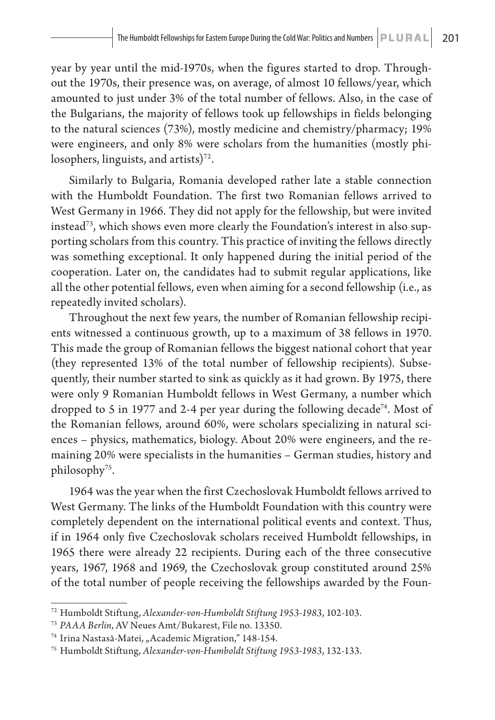year by year until the mid-1970s, when the figures started to drop. Throughout the 1970s, their presence was, on average, of almost 10 fellows/year, which amounted to just under 3% of the total number of fellows. Also, in the case of the Bulgarians, the majority of fellows took up fellowships in fields belonging to the natural sciences (73%), mostly medicine and chemistry/pharmacy; 19% were engineers, and only 8% were scholars from the humanities (mostly philosophers, linguists, and artists) $72$ .

Similarly to Bulgaria, Romania developed rather late a stable connection with the Humboldt Foundation. The first two Romanian fellows arrived to West Germany in 1966. They did not apply for the fellowship, but were invited instead73, which shows even more clearly the Foundation's interest in also supporting scholars from this country. This practice of inviting the fellows directly was something exceptional. It only happened during the initial period of the cooperation. Later on, the candidates had to submit regular applications, like all the other potential fellows, even when aiming for a second fellowship (i.e., as repeatedly invited scholars).

Throughout the next few years, the number of Romanian fellowship recipients witnessed a continuous growth, up to a maximum of 38 fellows in 1970. This made the group of Romanian fellows the biggest national cohort that year (they represented 13% of the total number of fellowship recipients). Subsequently, their number started to sink as quickly as it had grown. By 1975, there were only 9 Romanian Humboldt fellows in West Germany, a number which dropped to 5 in 1977 and 2-4 per year during the following decade<sup>74</sup>. Most of the Romanian fellows, around 60%, were scholars specializing in natural sciences – physics, mathematics, biology. About 20% were engineers, and the remaining 20% were specialists in the humanities – German studies, history and philosophy75.

1964 was the year when the first Czechoslovak Humboldt fellows arrived to West Germany. The links of the Humboldt Foundation with this country were completely dependent on the international political events and context. Thus, if in 1964 only five Czechoslovak scholars received Humboldt fellowships, in 1965 there were already 22 recipients. During each of the three consecutive years, 1967, 1968 and 1969, the Czechoslovak group constituted around 25% of the total number of people receiving the fellowships awarded by the Foun-

<sup>72</sup> Humboldt Stiftung, *Alexander-von-Humboldt Stiftung 1953-1983*, 102-103.

<sup>73</sup> *PAAA Berlin*, AV Neues Amt/Bukarest, File no. 13350.

<sup>&</sup>lt;sup>74</sup> Irina Nastasă-Matei, "Academic Migration," 148-154.

<sup>75</sup> Humboldt Stiftung, *Alexander-von-Humboldt Stiftung 1953-1983*, 132-133.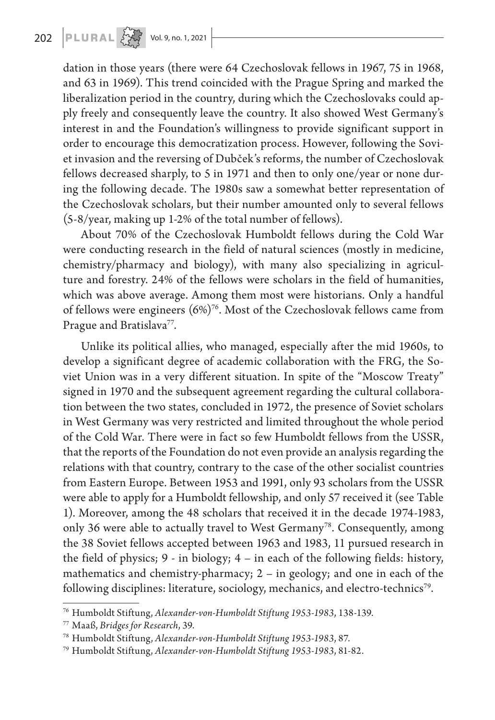dation in those years (there were 64 Czechoslovak fellows in 1967, 75 in 1968, and 63 in 1969). This trend coincided with the Prague Spring and marked the liberalization period in the country, during which the Czechoslovaks could apply freely and consequently leave the country. It also showed West Germany's interest in and the Foundation's willingness to provide significant support in order to encourage this democratization process. However, following the Soviet invasion and the reversing of Dubček's reforms, the number of Czechoslovak fellows decreased sharply, to 5 in 1971 and then to only one/year or none during the following decade. The 1980s saw a somewhat better representation of the Czechoslovak scholars, but their number amounted only to several fellows (5-8/year, making up 1-2% of the total number of fellows).

About 70% of the Czechoslovak Humboldt fellows during the Cold War were conducting research in the field of natural sciences (mostly in medicine, chemistry/pharmacy and biology), with many also specializing in agriculture and forestry. 24% of the fellows were scholars in the field of humanities, which was above average. Among them most were historians. Only a handful of fellows were engineers  $(6%)^{76}$ . Most of the Czechoslovak fellows came from Prague and Bratislava<sup>77</sup>.

Unlike its political allies, who managed, especially after the mid 1960s, to develop a significant degree of academic collaboration with the FRG, the Soviet Union was in a very different situation. In spite of the "Moscow Treaty" signed in 1970 and the subsequent agreement regarding the cultural collaboration between the two states, concluded in 1972, the presence of Soviet scholars in West Germany was very restricted and limited throughout the whole period of the Cold War. There were in fact so few Humboldt fellows from the USSR, that the reports of the Foundation do not even provide an analysis regarding the relations with that country, contrary to the case of the other socialist countries from Eastern Europe. Between 1953 and 1991, only 93 scholars from the USSR were able to apply for a Humboldt fellowship, and only 57 received it (see Table 1). Moreover, among the 48 scholars that received it in the decade 1974-1983, only 36 were able to actually travel to West Germany<sup>78</sup>. Consequently, among the 38 Soviet fellows accepted between 1963 and 1983, 11 pursued research in the field of physics; 9 - in biology; 4 – in each of the following fields: history, mathematics and chemistry-pharmacy; 2 – in geology; and one in each of the following disciplines: literature, sociology, mechanics, and electro-technics<sup>79</sup>.

<sup>76</sup> Humboldt Stiftung, *Alexander-von-Humboldt Stiftung 1953-1983*, 138-139.

<sup>77</sup> Maaß, *Bridges for Research*, 39. 78 Humboldt Stiftung, *Alexander-von-Humboldt Stiftung 1953-1983*, 87.

<sup>79</sup> Humboldt Stiftung, *Alexander-von-Humboldt Stiftung 1953-1983*, 81-82.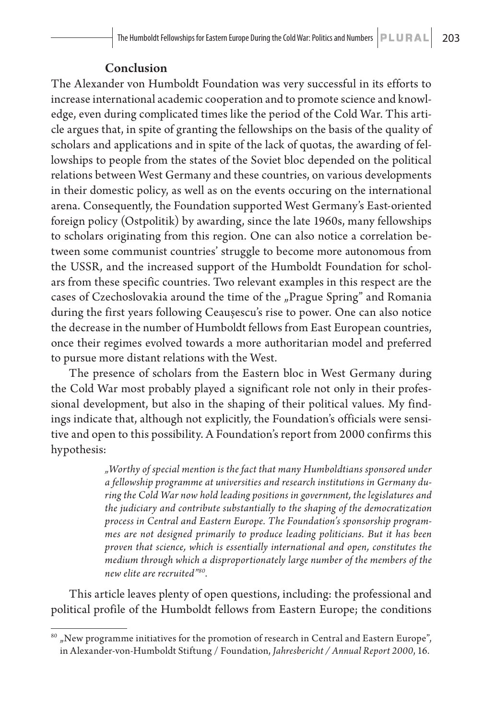#### Conclusion

The Alexander von Humboldt Foundation was very successful in its efforts to increase international academic cooperation and to promote science and knowledge, even during complicated times like the period of the Cold War. This article argues that, in spite of granting the fellowships on the basis of the quality of scholars and applications and in spite of the lack of quotas, the awarding of fellowships to people from the states of the Soviet bloc depended on the political relations between West Germany and these countries, on various developments in their domestic policy, as well as on the events occuring on the international arena. Consequently, the Foundation supported West Germany's East-oriented foreign policy (Ostpolitik) by awarding, since the late 1960s, many fellowships to scholars originating from this region. One can also notice a correlation between some communist countries' struggle to become more autonomous from the USSR, and the increased support of the Humboldt Foundation for scholars from these specific countries. Two relevant examples in this respect are the cases of Czechoslovakia around the time of the "Prague Spring" and Romania during the first years following Ceaușescu's rise to power. One can also notice the decrease in the number of Humboldt fellows from East European countries, once their regimes evolved towards a more authoritarian model and preferred to pursue more distant relations with the West.

The presence of scholars from the Eastern bloc in West Germany during the Cold War most probably played a significant role not only in their professional development, but also in the shaping of their political values. My findings indicate that, although not explicitly, the Foundation's officials were sensitive and open to this possibility. A Foundation's report from 2000 confirms this hypothesis:

> *"Worthy of special mention is the fact that many Humboldtians sponsored under a fellowship programme at universities and research institutions in Germany during the Cold War now hold leading positions in government, the legislatures and the judiciary and contribute substantially to the shaping of the democratization process in Central and Eastern Europe. The Foundation's sponsorship programmes are not designed primarily to produce leading politicians. But it has been proven that science, which is essentially international and open, constitutes the medium through which a disproportionately large number of the members of the new elite are recruited"80.*

This article leaves plenty of open questions, including: the professional and political profile of the Humboldt fellows from Eastern Europe; the conditions

 $^{\rm 80}$  "New programme initiatives for the promotion of research in Central and Eastern Europe", in Alexander-von-Humboldt Stiftung / Foundation, *Jahresbericht / Annual Report 2000*, 16.